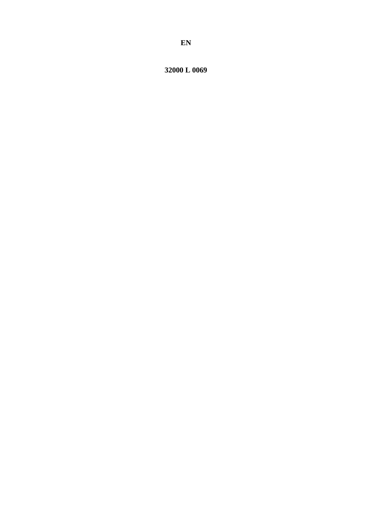32000 L 0069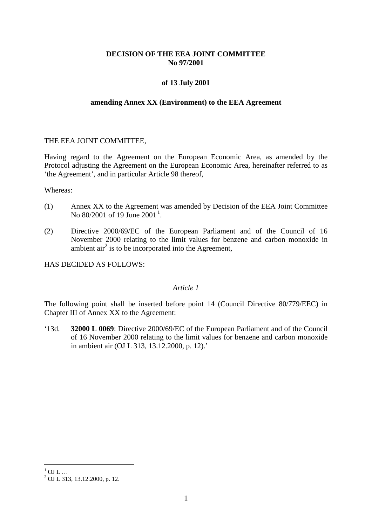# **DECISION OF THE EEA JOINT COMMITTEE No 97/2001**

# **of 13 July 2001**

#### **amending Annex XX (Environment) to the EEA Agreement**

# THE EEA JOINT COMMITTEE,

Having regard to the Agreement on the European Economic Area, as amended by the Protocol adjusting the Agreement on the European Economic Area, hereinafter referred to as 'the Agreement', and in particular Article 98 thereof,

Whereas:

- (1) Annex XX to the Agreement was amended by Decision of the EEA Joint Committee No 80/200[1](#page-1-0) of 19 June 2001<sup>1</sup>.
- (2) Directive 2000/69/EC of the European Parliament and of the Council of 16 November 2000 relating to the limit values for benzene and carbon monoxide in ambient  $\arctan^2$  is to be incorporated into the Agreement,

HAS DECIDED AS FOLLOWS:

# *Article 1*

The following point shall be inserted before point 14 (Council Directive 80/779/EEC) in Chapter III of Annex XX to the Agreement:

'13d. **32000 L 0069**: Directive 2000/69/EC of the European Parliament and of the Council of 16 November 2000 relating to the limit values for benzene and carbon monoxide in ambient air (OJ L 313, 13.12.2000, p. 12).'

<span id="page-1-0"></span> $1 \over 2$  OJ L ...<br> $2 \over 2$  OJ L 313, 13.12.2000, p. 12.